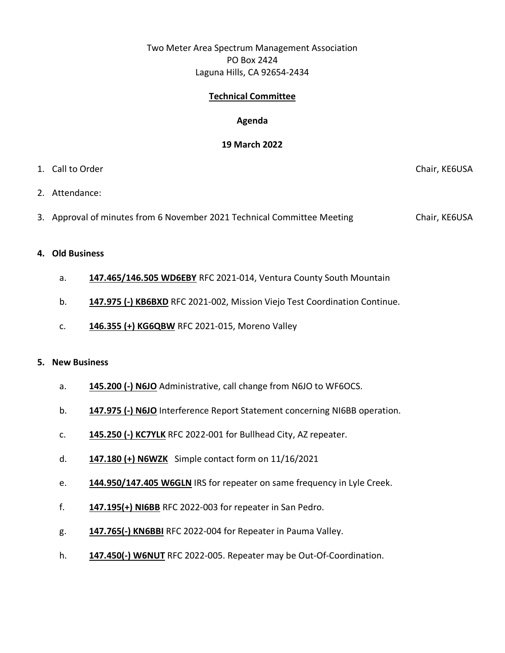# Two Meter Area Spectrum Management Association PO Box 2424 Laguna Hills, CA 92654-2434

## **Technical Committee**

### **Agenda**

#### **19 March 2022**

## 1. Call to Order Chair, KE6USA

- 2. Attendance:
- 3. Approval of minutes from 6 November 2021 Technical Committee Meeting Chair, KE6USA

#### **4. Old Business**

- a. **147.465/146.505 WD6EBY** RFC 2021-014, Ventura County South Mountain
- b. **147.975 (-) KB6BXD** RFC 2021-002, Mission Viejo Test Coordination Continue.
- c. **146.355 (+) KG6QBW** RFC 2021-015, Moreno Valley

#### **5. New Business**

- a. **145.200 (-) N6JO** Administrative, call change from N6JO to WF6OCS.
- b. **147.975 (-) N6JO** Interference Report Statement concerning NI6BB operation.
- c. **145.250 (-) KC7YLK** RFC 2022-001 for Bullhead City, AZ repeater.
- d. **147.180 (+) N6WZK** Simple contact form on 11/16/2021
- e. **144.950/147.405 W6GLN** IRS for repeater on same frequency in Lyle Creek.
- f. **147.195(+) NI6BB** RFC 2022-003 for repeater in San Pedro.
- g. **147.765(-) KN6BBI** RFC 2022-004 for Repeater in Pauma Valley.
- h. **147.450(-) W6NUT** RFC 2022-005. Repeater may be Out-Of-Coordination.